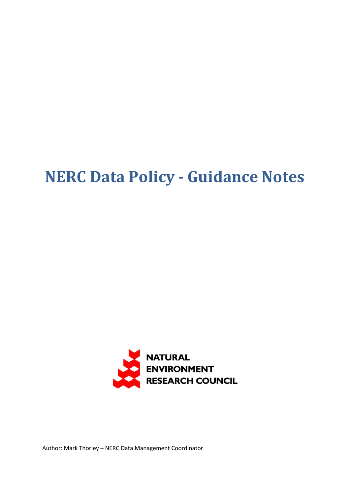# **NERC Data Policy Guidance Notes**



Author: Mark Thorley – NERC Data Management Coordinator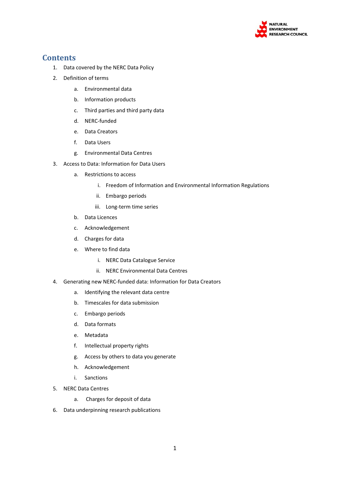

# **Contents**

- 1. Data covered by the NERC Data Policy
- 2. Definition of terms
	- a. Environmental data
	- b. Information products
	- c. Third parties and third party data
	- d. NERC‐funded
	- e. Data Creators
	- f. Data Users
	- g. Environmental Data Centres
- 3. Access to Data: Information for Data Users
	- a. Restrictions to access
		- i. Freedom of Information and Environmental Information Regulations
		- ii. Embargo periods
		- iii. Long‐term time series
	- b. Data Licences
	- c. Acknowledgement
	- d. Charges for data
	- e. Where to find data
		- i. NERC Data Catalogue Service
		- ii. NERC Environmental Data Centres
- 4. Generating new NERC‐funded data: Information for Data Creators
	- a. Identifying the relevant data centre
	- b. Timescales for data submission
	- c. Embargo periods
	- d. Data formats
	- e. Metadata
	- f. Intellectual property rights
	- g. Access by others to data you generate
	- h. Acknowledgement
	- i. Sanctions
- 5. NERC Data Centres
	- a. Charges for deposit of data
- 6. Data underpinning research publications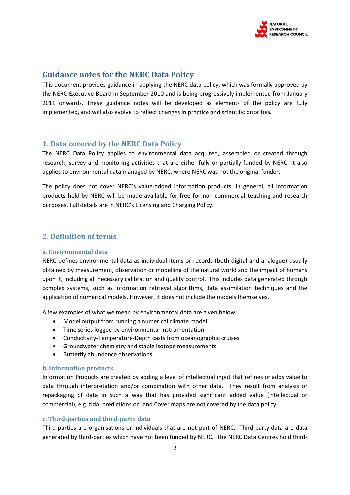

# **Guidance notes for the NERC Data Policy**

This document provides guidance in applying the NERC data policy, which was formally approved by the NERC Executive Board in September 2010 and is being progressively implemented from January 2011 onwards. These guidance notes will be developed as elements of the policy are fully implemented, and will also evolve to reflect changes in practice and scientific priorities.

# **1. Data covered by the NERC Data Policy**

The NERC Data Policy applies to environmental data acquired, assembled or created through research, survey and monitoring activities that are either fully or partially funded by NERC. It also applies to environmental data managed by NERC, where NERC was not the original funder.

The policy does not cover NERC's value-added information products. In general, all information products held by NERC will be made available for free for non‐commercial teaching and research purposes. Full details are in NERC's Licensing and Charging Policy.

# **2. Definition of terms**

# **a. Environmental data**

NERC defines environmental data as individual items or records (both digital and analogue) usually obtained by measurement, observation or modelling of the natural world and the impact of humans upon it, including all necessary calibration and quality control. This includes data generated through complex systems, such as information retrieval algorithms, data assimilation techniques and the application of numerical models. However, it does not include the models themselves.

A few examples of what we mean by environmental data are given below:

- Model output from running a numerical climate model
- Time series logged by environmental instrumentation
- Conductivity‐Temperature‐Depth casts from oceanographic cruises
- Groundwater chemistry and stable isotope measurements
- Butterfly abundance observations

# **b. Information products**

Information Products are created by adding a level of intellectual input that refines or adds value to data through interpretation and/or combination with other data. They result from analysis or repackaging of data in such a way that has provided significant added value (intellectual or commercial), e.g. tidal predictions or Land Cover maps are not covered by the data policy.

# **c. Thirdparties and thirdparty data**

Third‐parties are organisations or individuals that are not part of NERC. Third‐party data are data generated by third-parties which have not been funded by NERC. The NERC Data Centres hold third-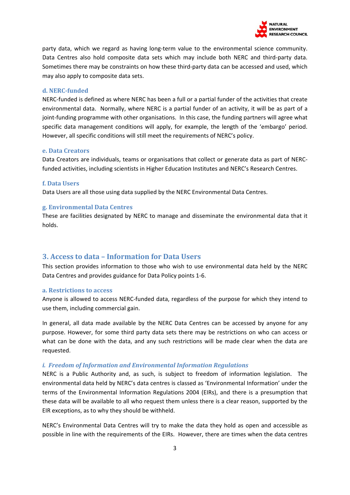

party data, which we regard as having long-term value to the environmental science community. Data Centres also hold composite data sets which may include both NERC and third‐party data. Sometimes there may be constraints on how these third‐party data can be accessed and used, which may also apply to composite data sets.

#### **d. NERCfunded**

NERC‐funded is defined as where NERC has been a full or a partial funder of the activities that create environmental data. Normally, where NERC is a partial funder of an activity, it will be as part of a joint-funding programme with other organisations. In this case, the funding partners will agree what specific data management conditions will apply, for example, the length of the 'embargo' period. However, all specific conditions will still meet the requirements of NERC's policy.

#### **e. Data Creators**

Data Creators are individuals, teams or organisations that collect or generate data as part of NERC‐ funded activities, including scientists in Higher Education Institutes and NERC's Research Centres.

#### **f. Data Users**

Data Users are all those using data supplied by the NERC Environmental Data Centres.

#### **g. Environmental Data Centres**

These are facilities designated by NERC to manage and disseminate the environmental data that it holds.

# **3. Access to data – Information for Data Users**

This section provides information to those who wish to use environmental data held by the NERC Data Centres and provides guidance for Data Policy points 1‐6.

#### **a. Restrictions to access**

Anyone is allowed to access NERC‐funded data, regardless of the purpose for which they intend to use them, including commercial gain.

In general, all data made available by the NERC Data Centres can be accessed by anyone for any purpose. However, for some third party data sets there may be restrictions on who can access or what can be done with the data, and any such restrictions will be made clear when the data are requested.

# *i. Freedom of Information and Environmental Information Regulations*

NERC is a Public Authority and, as such, is subject to freedom of information legislation. The environmental data held by NERC's data centres is classed as 'Environmental Information' under the terms of the Environmental Information Regulations 2004 (EIRs), and there is a presumption that these data will be available to all who request them unless there is a clear reason, supported by the EIR exceptions, as to why they should be withheld.

NERC's Environmental Data Centres will try to make the data they hold as open and accessible as possible in line with the requirements of the EIRs. However, there are times when the data centres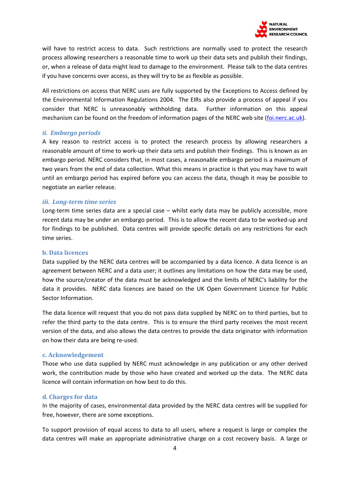

will have to restrict access to data. Such restrictions are normally used to protect the research process allowing researchers a reasonable time to work up their data sets and publish their findings, or, when a release of data might lead to damage to the environment. Please talk to the data centres if you have concerns over access, as they will try to be as flexible as possible.

All restrictions on access that NERC uses are fully supported by the Exceptions to Access defined by the Environmental Information Regulations 2004. The EIRs also provide a process of appeal if you consider that NERC is unreasonably withholding data. Further information on this appeal mechanism can be found on the freedom of information pages of the NERC web site (foi.nerc.ac.uk).

# *ii. Embargo periods*

A key reason to restrict access is to protect the research process by allowing researchers a reasonable amount of time to work‐up their data sets and publish their findings. This is known as an embargo period. NERC considers that, in most cases, a reasonable embargo period is a maximum of two years from the end of data collection. What this means in practice is that you may have to wait until an embargo period has expired before you can access the data, though it may be possible to negotiate an earlier release.

# *iii. Longterm time series*

Long-term time series data are a special case – whilst early data may be publicly accessible, more recent data may be under an embargo period. This is to allow the recent data to be worked‐up and for findings to be published. Data centres will provide specific details on any restrictions for each time series.

#### **b. Data licences**

Data supplied by the NERC data centres will be accompanied by a data licence. A data licence is an agreement between NERC and a data user; it outlines any limitations on how the data may be used, how the source/creator of the data must be acknowledged and the limits of NERC's liability for the data it provides. NERC data licences are based on the UK Open Government Licence for Public Sector Information.

The data licence will request that you do not pass data supplied by NERC on to third parties, but to refer the third party to the data centre. This is to ensure the third party receives the most recent version of the data, and also allows the data centres to provide the data originator with information on how their data are being re‐used.

#### **c. Acknowledgement**

Those who use data supplied by NERC must acknowledge in any publication or any other derived work, the contribution made by those who have created and worked up the data. The NERC data licence will contain information on how best to do this.

#### **d. Charges for data**

In the majority of cases, environmental data provided by the NERC data centres will be supplied for free, however, there are some exceptions.

To support provision of equal access to data to all users, where a request is large or complex the data centres will make an appropriate administrative charge on a cost recovery basis. A large or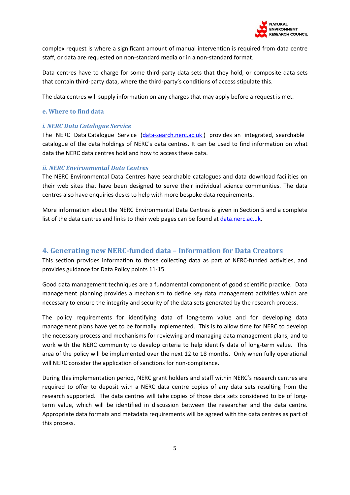

complex request is where a significant amount of manual intervention is required from data centre staff, or data are requested on non‐standard media or in a non‐standard format.

Data centres have to charge for some third‐party data sets that they hold, or composite data sets that contain third‐party data, where the third‐party's conditions of access stipulate this.

The data centres will supply information on any charges that may apply before a request is met.

### **e. Where to find data**

#### *i. NERC Data Catalogue Service*

The NERC Data Catalogue Service (data-search.nerc.ac.uk) provides an integrated, searchable catalogue of the data holdings of NERC's data centres. It can be used to find information on what data the NERC data centres hold and how to access these data.

# *ii. NERC Environmental Data Centres*

The NERC Environmental Data Centres have searchable catalogues and data download facilities on their web sites that have been designed to serve their individual science communities. The data centres also have enquiries desks to help with more bespoke data requirements.

More information about the NERC Environmental Data Centres is given in Section 5 and a complete list of the data centres and links to their web pages can be found at data.nerc.ac.uk.

# **4. Generating new NERCfunded data – Information for Data Creators**

This section provides information to those collecting data as part of NERC‐funded activities, and provides guidance for Data Policy points 11‐15.

Good data management techniques are a fundamental component of good scientific practice. Data management planning provides a mechanism to define key data management activities which are necessary to ensure the integrity and security of the data sets generated by the research process.

The policy requirements for identifying data of long-term value and for developing data management plans have yet to be formally implemented. This is to allow time for NERC to develop the necessary process and mechanisms for reviewing and managing data management plans, and to work with the NERC community to develop criteria to help identify data of long-term value. This area of the policy will be implemented over the next 12 to 18 months. Only when fully operational will NERC consider the application of sanctions for non‐compliance.

During this implementation period, NERC grant holders and staff within NERC's research centres are required to offer to deposit with a NERC data centre copies of any data sets resulting from the research supported. The data centres will take copies of those data sets considered to be of longterm value, which will be identified in discussion between the researcher and the data centre. Appropriate data formats and metadata requirements will be agreed with the data centres as part of this process.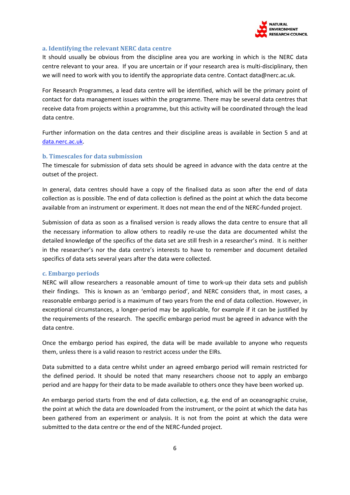

# **a. Identifying the relevant NERC data centre**

It should usually be obvious from the discipline area you are working in which is the NERC data centre relevant to your area. If you are uncertain or if your research area is multi‐disciplinary, then we will need to work with you to identify the appropriate data centre. Contact data@nerc.ac.uk.

For Research Programmes, a lead data centre will be identified, which will be the primary point of contact for data management issues within the programme. There may be several data centres that receive data from projects within a programme, but this activity will be coordinated through the lead data centre.

Further information on the data centres and their discipline areas is available in Section 5 and at data.nerc.ac.uk.

# **b. Timescales for data submission**

The timescale for submission of data sets should be agreed in advance with the data centre at the outset of the project.

In general, data centres should have a copy of the finalised data as soon after the end of data collection as is possible. The end of data collection is defined as the point at which the data become available from an instrument or experiment. It does not mean the end of the NERC‐funded project.

Submission of data as soon as a finalised version is ready allows the data centre to ensure that all the necessary information to allow others to readily re‐use the data are documented whilst the detailed knowledge of the specifics of the data set are still fresh in a researcher's mind. It is neither in the researcher's nor the data centre's interests to have to remember and document detailed specifics of data sets several years after the data were collected.

# **c. Embargo periods**

NERC will allow researchers a reasonable amount of time to work‐up their data sets and publish their findings. This is known as an 'embargo period', and NERC considers that, in most cases, a reasonable embargo period is a maximum of two years from the end of data collection. However, in exceptional circumstances, a longer-period may be applicable, for example if it can be justified by the requirements of the research. The specific embargo period must be agreed in advance with the data centre.

Once the embargo period has expired, the data will be made available to anyone who requests them, unless there is a valid reason to restrict access under the EIRs.

Data submitted to a data centre whilst under an agreed embargo period will remain restricted for the defined period. It should be noted that many researchers choose not to apply an embargo period and are happy for their data to be made available to others once they have been worked up.

An embargo period starts from the end of data collection, e.g. the end of an oceanographic cruise, the point at which the data are downloaded from the instrument, or the point at which the data has been gathered from an experiment or analysis. It is not from the point at which the data were submitted to the data centre or the end of the NERC-funded project.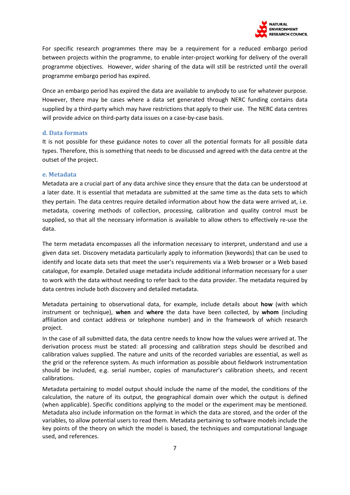

For specific research programmes there may be a requirement for a reduced embargo period between projects within the programme, to enable inter-project working for delivery of the overall programme objectives. However, wider sharing of the data will still be restricted until the overall programme embargo period has expired.

Once an embargo period has expired the data are available to anybody to use for whatever purpose. However, there may be cases where a data set generated through NERC funding contains data supplied by a third-party which may have restrictions that apply to their use. The NERC data centres will provide advice on third-party data issues on a case-by-case basis.

# **d. Data formats**

It is not possible for these guidance notes to cover all the potential formats for all possible data types. Therefore, this is something that needs to be discussed and agreed with the data centre at the outset of the project.

# **e. Metadata**

Metadata are a crucial part of any data archive since they ensure that the data can be understood at a later date. It is essential that metadata are submitted at the same time as the data sets to which they pertain. The data centres require detailed information about how the data were arrived at, i.e. metadata, covering methods of collection, processing, calibration and quality control must be supplied, so that all the necessary information is available to allow others to effectively re-use the data.

The term metadata encompasses all the information necessary to interpret, understand and use a given data set. Discovery metadata particularly apply to information (keywords) that can be used to identify and locate data sets that meet the user's requirements via a Web browser or a Web based catalogue, for example. Detailed usage metadata include additional information necessary for a user to work with the data without needing to refer back to the data provider. The metadata required by data centres include both discovery and detailed metadata.

Metadata pertaining to observational data, for example, include details about **how** (with which instrument or technique), **when** and **where** the data have been collected, by **whom** (including affiliation and contact address or telephone number) and in the framework of which research project.

In the case of all submitted data, the data centre needs to know how the values were arrived at. The derivation process must be stated: all processing and calibration steps should be described and calibration values supplied. The nature and units of the recorded variables are essential, as well as the grid or the reference system. As much information as possible about fieldwork instrumentation should be included, e.g. serial number, copies of manufacturer's calibration sheets, and recent calibrations.

Metadata pertaining to model output should include the name of the model, the conditions of the calculation, the nature of its output, the geographical domain over which the output is defined (when applicable). Specific conditions applying to the model or the experiment may be mentioned. Metadata also include information on the format in which the data are stored, and the order of the variables, to allow potential users to read them. Metadata pertaining to software models include the key points of the theory on which the model is based, the techniques and computational language used, and references.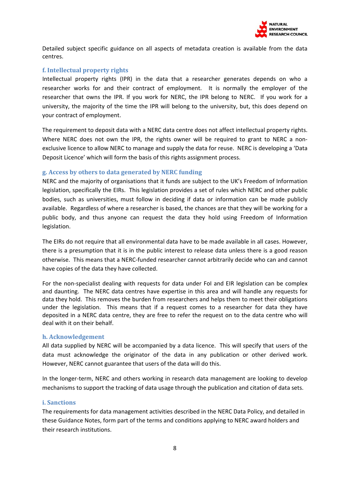

Detailed subject specific guidance on all aspects of metadata creation is available from the data centres.

# **f. Intellectual property rights**

Intellectual property rights (IPR) in the data that a researcher generates depends on who a researcher works for and their contract of employment. It is normally the employer of the researcher that owns the IPR. If you work for NERC, the IPR belong to NERC. If you work for a university, the majority of the time the IPR will belong to the university, but, this does depend on your contract of employment.

The requirement to deposit data with a NERC data centre does not affect intellectual property rights. Where NERC does not own the IPR, the rights owner will be required to grant to NERC a nonexclusive licence to allow NERC to manage and supply the data for reuse. NERC is developing a 'Data Deposit Licence' which will form the basis of this rights assignment process.

# **g. Access by others to data generated by NERC funding**

NERC and the majority of organisations that it funds are subject to the UK's Freedom of Information legislation, specifically the EIRs. This legislation provides a set of rules which NERC and other public bodies, such as universities, must follow in deciding if data or information can be made publicly available. Regardless of where a researcher is based, the chances are that they will be working for a public body, and thus anyone can request the data they hold using Freedom of Information legislation.

The EIRs do not require that all environmental data have to be made available in all cases. However, there is a presumption that it is in the public interest to release data unless there is a good reason otherwise. This means that a NERC‐funded researcher cannot arbitrarily decide who can and cannot have copies of the data they have collected.

For the non‐specialist dealing with requests for data under FoI and EIR legislation can be complex and daunting. The NERC data centres have expertise in this area and will handle any requests for data they hold. This removes the burden from researchers and helps them to meet their obligations under the legislation. This means that if a request comes to a researcher for data they have deposited in a NERC data centre, they are free to refer the request on to the data centre who will deal with it on their behalf.

# **h. Acknowledgement**

All data supplied by NERC will be accompanied by a data licence. This will specify that users of the data must acknowledge the originator of the data in any publication or other derived work. However, NERC cannot guarantee that users of the data will do this.

In the longer-term, NERC and others working in research data management are looking to develop mechanisms to support the tracking of data usage through the publication and citation of data sets.

# **i. Sanctions**

The requirements for data management activities described in the NERC Data Policy, and detailed in these Guidance Notes, form part of the terms and conditions applying to NERC award holders and their research institutions.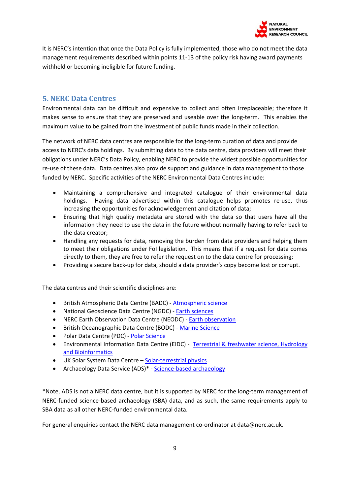

It is NERC's intention that once the Data Policy is fully implemented, those who do not meet the data management requirements described within points 11‐13 of the policy risk having award payments withheld or becoming ineligible for future funding.

# **5. NERC Data Centres**

Environmental data can be difficult and expensive to collect and often irreplaceable; therefore it makes sense to ensure that they are preserved and useable over the long-term. This enables the maximum value to be gained from the investment of public funds made in their collection.

The network of NERC data centres are responsible for the long-term curation of data and provide access to NERC's data holdings. By submitting data to the data centre, data providers will meet their obligations under NERC's Data Policy, enabling NERC to provide the widest possible opportunities for re-use of these data. Data centres also provide support and guidance in data management to those funded by NERC. Specific activities of the NERC Environmental Data Centres include:

- Maintaining a comprehensive and integrated catalogue of their environmental data holdings. Having data advertised within this catalogue helps promotes re-use, thus increasing the opportunities for acknowledgement and citation of data;
- Ensuring that high quality metadata are stored with the data so that users have all the information they need to use the data in the future without normally having to refer back to the data creator;
- Handling any requests for data, removing the burden from data providers and helping them to meet their obligations under FoI legislation. This means that if a request for data comes directly to them, they are free to refer the request on to the data centre for processing;
- Providing a secure back‐up for data, should a data provider's copy become lost or corrupt.

The data centres and their scientific disciplines are:

- British Atmospheric Data Centre (BADC) ‐ Atmospheric science
- National Geoscience Data Centre (NGDC) ‐ Earth sciences
- NERC Earth Observation Data Centre (NEODC) Earth observation
- British Oceanographic Data Centre (BODC) ‐ Marine Science
- Polar Data Centre (PDC) ‐ Polar Science
- Environmental Information Data Centre (EIDC) Terrestrial & freshwater science, Hydrology and Bioinformatics
- UK Solar System Data Centre Solar‐terrestrial physics
- Archaeology Data Service (ADS)\* Science-based archaeology

\*Note, ADS is not a NERC data centre, but it is supported by NERC for the long‐term management of NERC‐funded science‐based archaeology (SBA) data, and as such, the same requirements apply to SBA data as all other NERC‐funded environmental data.

For general enquiries contact the NERC data management co-ordinator at data@nerc.ac.uk.